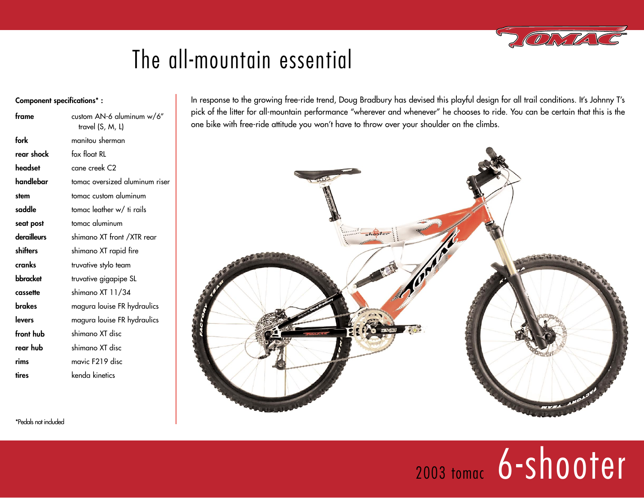## The all-mountain essential

#### **Component specifications\* :**

| frame       | custom AN-6 aluminum w/6"<br>travel (S, M, L) |
|-------------|-----------------------------------------------|
| fork        | manitou sherman                               |
| rear shock  | fox float RL                                  |
| headset     | cane creek C2                                 |
| handlebar   | tomac oversized aluminum riser                |
| stem        | tomac custom aluminum                         |
| saddle      | tomac leather w/ ti rails                     |
| seat post   | tomac aluminum                                |
| derailleurs | shimano XT front /XTR rear                    |
| shifters    | shimano XT rapid fire                         |
| cranks      | truvative stylo team                          |
| bbracket    | truvative gigapipe SL                         |
| cassette    | shimano XT 11/34                              |
| brakes      | magura louise FR hydraulics                   |
| levers      | magura louise FR hydraulics                   |
| front hub   | shimano XT disc                               |
| rear hub    | shimano XT disc                               |
| rims        | mavic F219 disc                               |
| tires       | kenda kinetics                                |

In response to the growing free-ride trend, Doug Bradbury has devised this playful design for all trail conditions. It's Johnny T's pick of the litter for all-mountain performance "wherever and whenever" he chooses to ride. You can be certain that this is the one bike with free-ride attitude you won't have to throw over your shoulder on the climbs.



\*Pedals not included

# 2003 tomac 6-shooter

OKTU